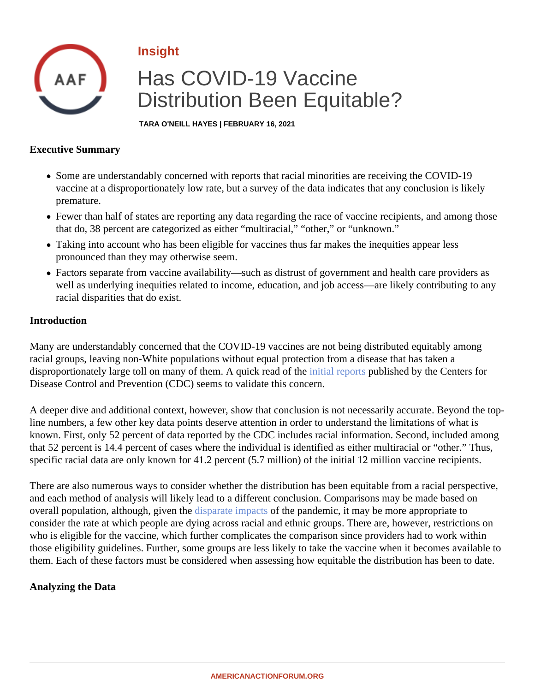## Insight

# Has COVID-19 Vaccine Distribution Been Equitable?

TARA O'NEILL HAYES | FEBRUARY 16, 2021

#### Executive Summary

- Some are understandably concerned with reports that racial minorities are receiving the COVID-19 vaccine at a disproportionately low rate, but a survey of the data indicates that any conclusion is likely premature.
- Fewer than half of states are reporting any data regarding the race of vaccine recipients, and among tho that do, 38 percent are categorized as either "multiracial," "other," or "unknown."
- Taking into account who has been eligible for vaccines thus far makes the inequities appear less pronounced than they may otherwise seem.
- Factors separate from vaccine availability—such as distrust of government and health care providers as well as underlying inequities related to income, education, and job access—are likely contributing to any racial disparities that do exist.

#### Introduction

Many are understandably concerned that the COVID-19 vaccines are not being distributed equitably among racial groups, leaving non-White populations without equal protection from a disease that has taken a disproportionately large toll on many of them. A quick read of the interports published by the Centers for Disease Control and Prevention (CDC) seems to validate this concern.

A deeper dive and additional context, however, show that conclusion is not necessarily accurate. Beyond the line numbers, a few other key data points deserve attention in order to understand the limitations of what is known. First, only 52 percent of data reported by the CDC includes racial information. Second, included amor that 52 percent is 14.4 percent of cases where the individual is identified as either multiracial or "other." Thus, specific racial data are only known for 41.2 percent (5.7 million) of the initial 12 million vaccine recipients.

There are also numerous ways to consider whether the distribution has been equitable from a racial perspect and each method of analysis will likely lead to a different conclusion. Comparisons may be made based on overallpopulation, although, given the parate impact the pandemic, it may be more appropriate to consider the rate at which people are dying across racial and ethnic groups. There are, however, restrictions who is eligible for the vaccine, which further complicates the comparison since providers had to work within those eligibility guidelines. Further, some groups are less likely to take the vaccine when it becomes available them. Each of these factors must be considered when assessing how equitable the distribution has been to d

Analyzing the Data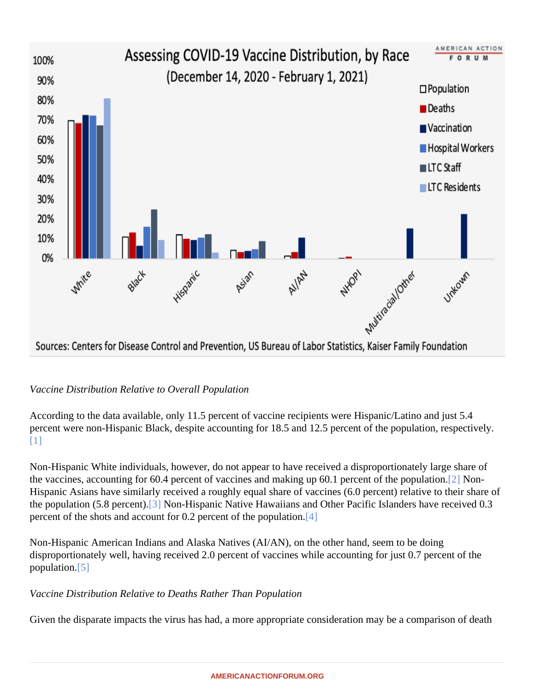<span id="page-1-0"></span>Vaccine Distribution Relative to Overall Population

According to the data available, only 11.5 percent of vaccine recipients were Hispanic/Latino and just 5.4 percent were non-Hispanic Black, despite accounting for 18.5 and 12.5 percent of the population, respectively [\[1\]](#page-5-0)

Non-Hispanic White individuals, however, do not appear to have received a disproportionately large share of the vaccines, accounting for 60.4 percent of vaccines and making up 60.1 percent of the p[opu](#page-5-0)lation. Hispanic Asians have similarly received a roughly equal share of vaccines (6.0 percent) relative to their share of the population (5.8 perce[nt\).](#page-5-0) Non-Hispanic Native Hawaiians and Other Pacific Islanders have received 0.3 percent of the shots and account for 0.2 percent of the pop[ulat](#page-6-0)ion.

Non-Hispanic American Indians and Alaska Natives (AI/AN), on the other hand, seem to be doing disproportionately well, having received 2.0 percent of vaccines while accounting for just 0.7 percent of the population<sup>[5]</sup>

Vaccine Distribution Relative to Deaths Rather Than Population

Given the disparate impacts the virus has had, a more appropriate consideration may be a comparison of death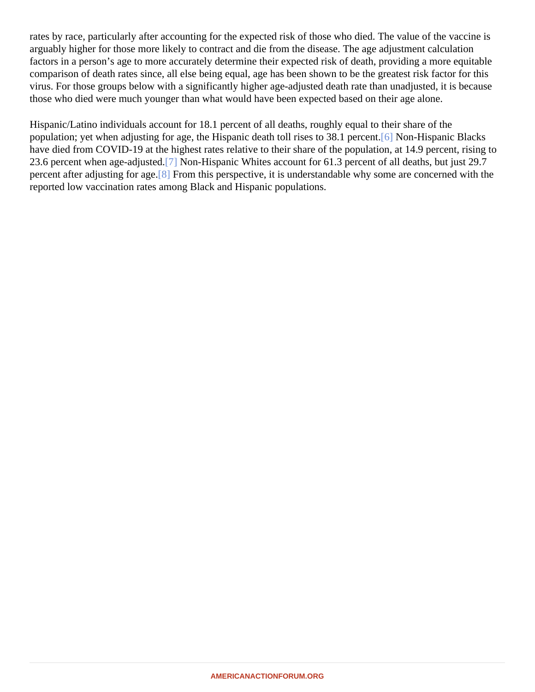<span id="page-2-0"></span>rates by race, particularly after accounting for the expected risk of those who died. The value of the vaccine is arguably higher for those more likely to contract and die from the disease. The age adjustment calculation factors in a person's age to more accurately determine their expected risk of death, providing a more equitable comparison of death rates since, all else being equal, age has been shown to be the greatest risk factor for th virus. For those groups below with a significantly higher age-adjusted death rate than unadjusted, it is becaus those who died were much younger than what would have been expected based on their age alone.

Hispanic/Latino individuals account for 18.1 percent of all deaths, roughly equal to their share of the population; yet when adjusting for age, the Hispanic death toll rises to 38.1 [per](#page-6-0)dent. Hispanic Blacks have died from COVID-19 at the highest rates relative to their share of the population, at 14.9 percent, rising 23.6 percent when age-adjus[ted](#page-6-0). Non-Hispanic Whites account for 61.3 percent of all deaths, but just 29.7 percent after adjusting for add. From this perspective, it is understandable why some are concerned with the reported low vaccination rates among Black and Hispanic populations.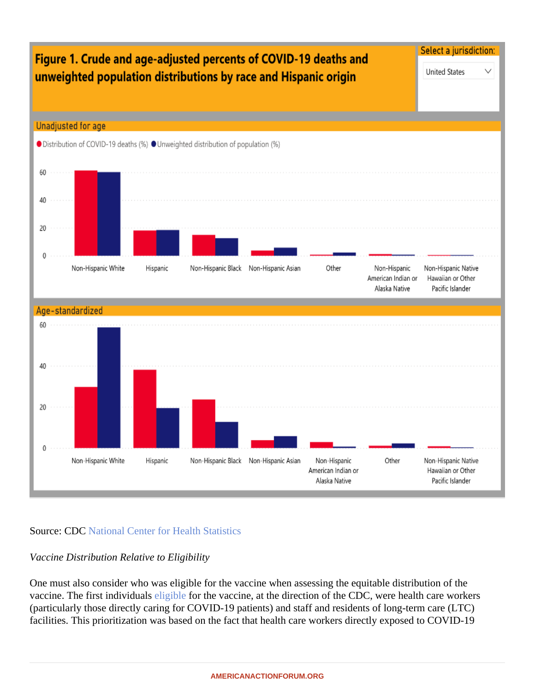**Source: CDCNational Center for Health Statistics** 

Vaccine Distribution Relative to Eligibility

One must also consider who was eligible for the vaccine when assessing the equitable distribution of the vaccine. The first individuals ligible for the vaccine, at the direction of the CDC, were health care workers (particularly those directly caring for COVID-19 patients) and staff and residents of long-term care (LTC) facilities. This prioritization was based on the fact that health care workers directly exposed to COVID-19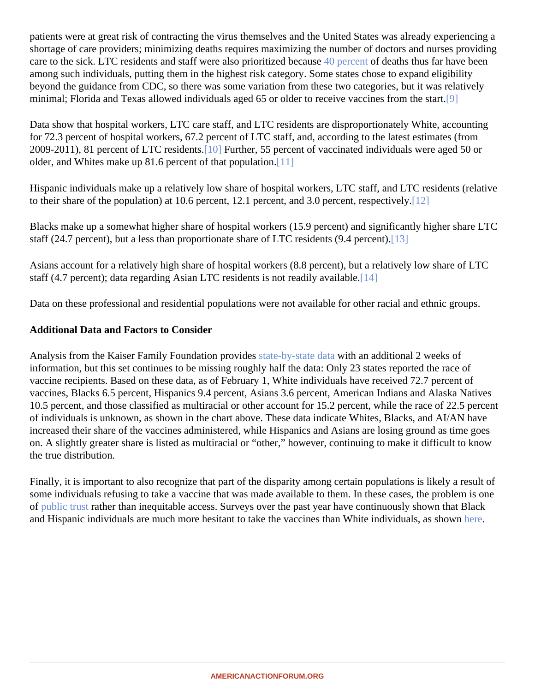<span id="page-4-0"></span>patients were at great risk of contracting the virus themselves and the United States was already experiencing shortage of care providers; minimizing deaths requires maximizing the number of doctors and nurses providir care to the sick. LTC residents and staff were also prioritized be ause cent of deaths thus far have been among such individuals, putting them in the highest risk category. Some states chose to expand eligibility beyond the guidance from CDC, so there was some variation from these two categories, but it was relatively minimal; Florida and Texas allowed individuals aged 65 or older to receive vaccines from [the](#page-6-0) start.

Data show that hospital workers, LTC care staff, and LTC residents are disproportionately White, accounting for 72.3 percent of hospital workers, 67.2 percent of LTC staff, and, according to the latest estimates (from 2009-2011), 81 percent of LTC residents. Further, 55 percent of vaccinated individuals were aged 50 or older, and Whites make up 81.6 percent of that popul[ation](#page-6-0).

Hispanic individuals make up a relatively low share of hospital workers, LTC staff, and LTC residents (relative to their share of the population) at 10.6 percent, 12.1 percent, and 3.0 percent, res[pect](#page-6-0)ively.

Blacks make up a somewhat higher share of hospital workers (15.9 percent) and significantly higher share LT staff (24.7 [perc](#page-6-0)ent), but a less than proportionate share of LTC residents (9.4 percent).

Asians account for a relatively high share of hospital workers (8.8 percent), but a relatively low share of LTC staff (4.7 percent); data regarding Asian LTC residents is not readily av[ailab](#page-6-0)le.

Data on these professional and residential populations were not available for other racial and ethnic groups.

Additional Data and Factors to Consider

Analysis from the Kaiser Family Foundation provideste-by-state dat with an additional 2 weeks of information, but this set continues to be missing roughly half the data: Only 23 states reported the race of vaccine recipients. Based on these data, as of February 1, White individuals have received 72.7 percent of vaccines, Blacks 6.5 percent, Hispanics 9.4 percent, Asians 3.6 percent, American Indians and Alaska Natives 10.5 percent, and those classified as multiracial or other account for 15.2 percent, while the race of 22.5 perc of individuals is unknown, as shown in the chart above. These data indicate Whites, Blacks, and AI/AN have increased their share of the vaccines administered, while Hispanics and Asians are losing ground as time goe on. A slightly greater share is listed as multiracial or "other," however, continuing to make it difficult to know the true distribution.

Finally, it is important to also recognize that part of the disparity among certain populations is likely a result of some individuals refusing to take a vaccine that was made available to them. In these cases, the problem is c of [public trus](�� h t t p s : / / p r o c e e d i n g s . m e d . u c l a . e d u / w p - c o n t e n t / u p l o a d s / 2 0 2 0 / 0 6 / W e l l s - A 2 0 0 4 2 1 L W - r k o - W e l l s - L i n d s a y - M . D . - B L M - f o r m a t t e d . p d f)trather than inequitable access. Surveys over the past year have continuously shown that Black and Hispanic individuals are much more hesitant to take the vaccines than White individuals, [as sh](�� h t t p s : / / w w w . k f f . o r g / c o r o n a v i r u s - c o v i d - 1 9 / d a s h b o a r d / k f f - c o v i d - 1 9 - v a c c i n e - m o n i t o r /)own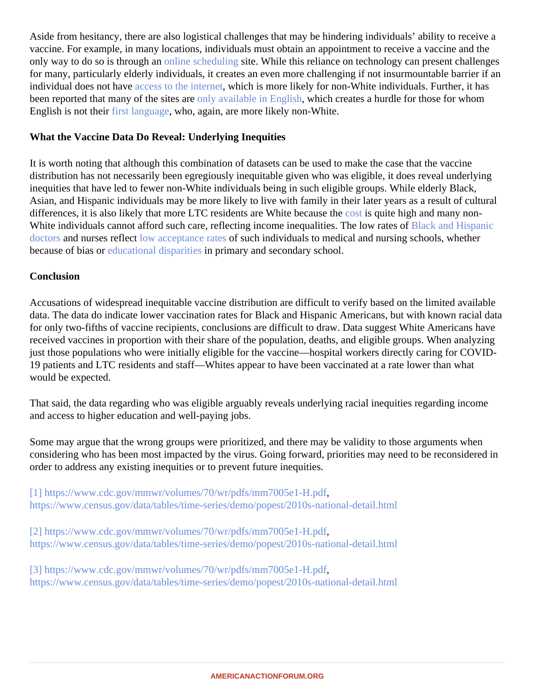<span id="page-5-0"></span>Aside from hesitancy, there are also logistical challenges that may be hindering individuals' ability to receive a vaccine. For example, in many locations, individuals must obtain an appointment to receive a vaccine and the only way to do so is through amiline schedulingite. While this reliance on technology can present challenges for many, particularly elderly individuals, it creates an even more challenging if not insurmountable barrier if a individual does not havaccess to the internet hich is more likely for non-White individuals. Further, it has been reported that many of the sites and available in English which creates a hurdle for those for whom English is not theifirst languagewho, again, are more likely non-White.

#### What the Vaccine Data Do Reveal: Underlying Inequities

It is worth noting that although this combination of datasets can be used to make the case that the vaccine distribution has not necessarily been egregiously inequitable given who was eligible, it does reveal underlying inequities that have led to fewer non-White individuals being in such eligible groups. While elderly Black, Asian, and Hispanic individuals may be more likely to live with family in their later years as a result of cultural differences, it is also likely that more LTC residents are White beca[use th](�� h t t p s : / / w w w . a m e r i c a n a c t i o n f o r u m . o r g / r e s e a r c h / t h e - b a l l o o n i n g - c o s t s - o f - l o n g - t e r m - c a r e /)e quite high and many non-White individuals cannot afford such care, reflecting income inequalities. The low rates of Hispanic [doctors](�� h t t p s : / / w w w . a a m c . o r g / d a t a - r e p o r t s / w o r k f o r c e / i n t e r a c t i v e - d a t a / f i g u r e - 1 8 - p e r c e n t a g e - a l l - a c t i v e - p h y s i c i a n s - r a c e / e t h n i c i t y - 2 0 1 8) and nurses reflect wacceptance rates such individuals to medical and nursing schools, whether becauseof bias or bucational disparitiers primary and secondary school.

### **Conclusion**

Accusations of widespread inequitable vaccine distribution are difficult to verify based on the limited available data. The data do indicate lower vaccination rates for Black and Hispanic Americans, but with known racial dat for only two-fifths of vaccine recipients, conclusions are difficult to draw. Data suggest White Americans have received vaccines in proportion with their share of the population, deaths, and eligible groups. When analyzin just those populations who were initially eligible for the vaccine—hospital workers directly caring for COVID-19 patients and LTC residents and staff—Whites appear to have been vaccinated at a rate lower than what would be expected.

That said, the data regarding who was eligible arguably reveals underlying racial inequities regarding income and access to higher education and well-paying jobs.

Some may argue that the wrong groups were prioritized, and there may be validity to those arguments when considering who has been most impacted by the virus. Going forward, priorities may need to be reconsidered order to address any existing inequities or to prevent future inequities.

[\[1\]](#page-1-0) [https://www.cdc.gov/mmwr/volumes/70/wr/pdfs/mm7005e1-H](�� h t t p s : / / w w w . c d c . g o v / m m w r / v o l u m e s / 7 0 / w r / p d f s / m m 7 0 0 5 e 1 - H . p d f).pdf [https://www.census.gov/data/tables/time-series/demo/popest/2010s-national-de](�� h t t p s : / / w w w . c e n s u s . g o v / d a t a / t a b l e s / t i m e - s e r i e s / d e m o / p o p e s t / 2 0 1 0 s - n a t i o n a l - d e t a i l . h t m l)tail.html

[\[2\]](#page-1-0) [https://www.cdc.gov/mmwr/volumes/70/wr/pdfs/mm7005e1-H](�� h t t p s : / / w w w . c d c . g o v / m m w r / v o l u m e s / 7 0 / w r / p d f s / m m 7 0 0 5 e 1 - H . p d f).pdf [https://www.census.gov/data/tables/time-series/demo/popest/2010s-national-de](�� h t t p s : / / w w w . c e n s u s . g o v / d a t a / t a b l e s / t i m e - s e r i e s / d e m o / p o p e s t / 2 0 1 0 s - n a t i o n a l - d e t a i l . h t m l)tail.html

[\[3\]](#page-1-0) [https://www.cdc.gov/mmwr/volumes/70/wr/pdfs/mm7005e1-H](�� h t t p s : / / w w w . c d c . g o v / m m w r / v o l u m e s / 7 0 / w r / p d f s / m m 7 0 0 5 e 1 - H . p d f).pdf [https://www.census.gov/data/tables/time-series/demo/popest/2010s-national-de](�� h t t p s : / / w w w . c e n s u s . g o v / d a t a / t a b l e s / t i m e - s e r i e s / d e m o / p o p e s t / 2 0 1 0 s - n a t i o n a l - d e t a i l . h t m l)tail.html